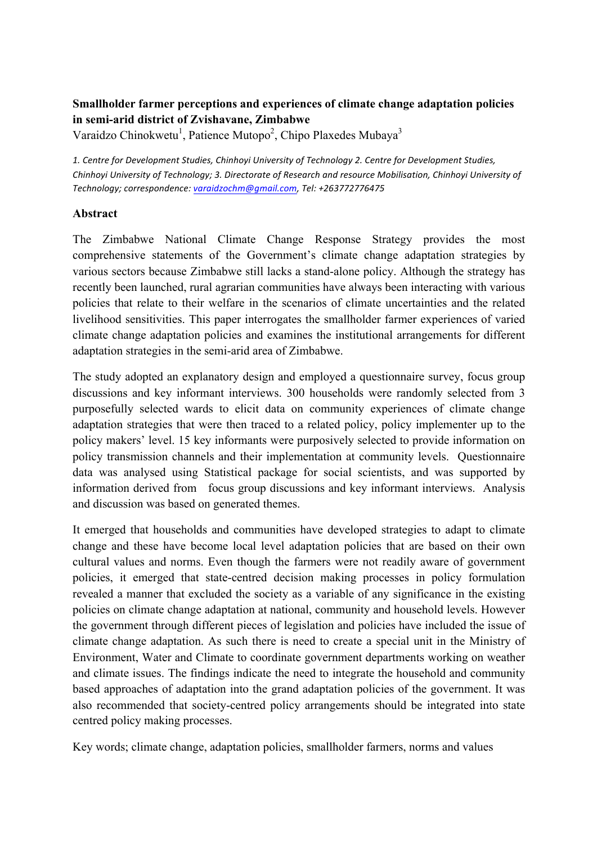# **Smallholder farmer perceptions and experiences of climate change adaptation policies in semi-arid district of Zvishavane, Zimbabwe**

Varaidzo Chinokwetu<sup>1</sup>, Patience Mutopo<sup>2</sup>, Chipo Plaxedes Mubaya<sup>3</sup>

*1. Centre for Development Studies, Chinhoyi University of Technology 2. Centre for Development Studies, Chinhoyi University of Technology; 3. Directorate of Research and resource Mobilisation, Chinhoyi University of Technology; correspondence: varaidzochm@gmail.com, Tel: +263772776475*

# **Abstract**

The Zimbabwe National Climate Change Response Strategy provides the most comprehensive statements of the Government's climate change adaptation strategies by various sectors because Zimbabwe still lacks a stand-alone policy. Although the strategy has recently been launched, rural agrarian communities have always been interacting with various policies that relate to their welfare in the scenarios of climate uncertainties and the related livelihood sensitivities. This paper interrogates the smallholder farmer experiences of varied climate change adaptation policies and examines the institutional arrangements for different adaptation strategies in the semi-arid area of Zimbabwe.

The study adopted an explanatory design and employed a questionnaire survey, focus group discussions and key informant interviews. 300 households were randomly selected from 3 purposefully selected wards to elicit data on community experiences of climate change adaptation strategies that were then traced to a related policy, policy implementer up to the policy makers' level. 15 key informants were purposively selected to provide information on policy transmission channels and their implementation at community levels. Questionnaire data was analysed using Statistical package for social scientists, and was supported by information derived from focus group discussions and key informant interviews. Analysis and discussion was based on generated themes.

It emerged that households and communities have developed strategies to adapt to climate change and these have become local level adaptation policies that are based on their own cultural values and norms. Even though the farmers were not readily aware of government policies, it emerged that state-centred decision making processes in policy formulation revealed a manner that excluded the society as a variable of any significance in the existing policies on climate change adaptation at national, community and household levels. However the government through different pieces of legislation and policies have included the issue of climate change adaptation. As such there is need to create a special unit in the Ministry of Environment, Water and Climate to coordinate government departments working on weather and climate issues. The findings indicate the need to integrate the household and community based approaches of adaptation into the grand adaptation policies of the government. It was also recommended that society-centred policy arrangements should be integrated into state centred policy making processes.

Key words; climate change, adaptation policies, smallholder farmers, norms and values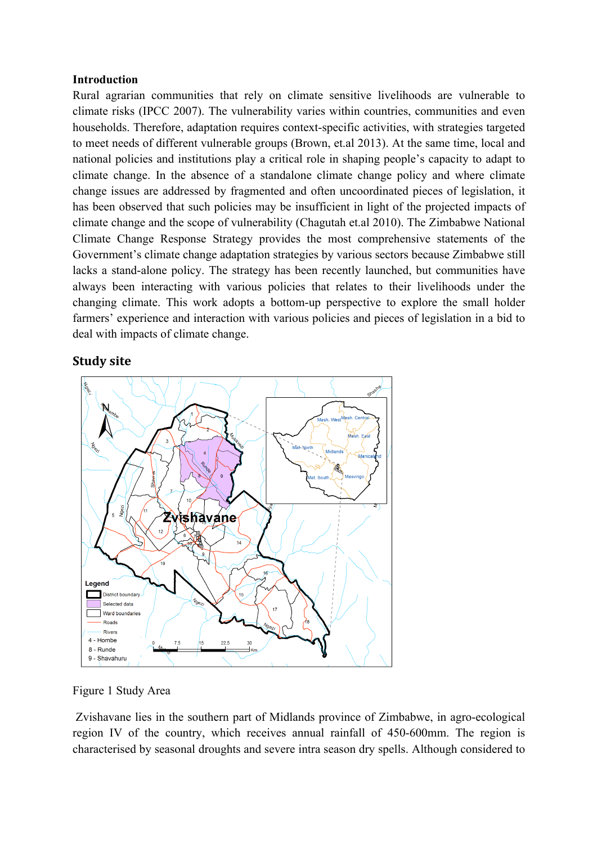#### **Introduction**

Rural agrarian communities that rely on climate sensitive livelihoods are vulnerable to climate risks (IPCC 2007). The vulnerability varies within countries, communities and even households. Therefore, adaptation requires context-specific activities, with strategies targeted to meet needs of different vulnerable groups (Brown, et.al 2013). At the same time, local and national policies and institutions play a critical role in shaping people's capacity to adapt to climate change. In the absence of a standalone climate change policy and where climate change issues are addressed by fragmented and often uncoordinated pieces of legislation, it has been observed that such policies may be insufficient in light of the projected impacts of climate change and the scope of vulnerability (Chagutah et.al 2010). The Zimbabwe National Climate Change Response Strategy provides the most comprehensive statements of the Government's climate change adaptation strategies by various sectors because Zimbabwe still lacks a stand-alone policy. The strategy has been recently launched, but communities have always been interacting with various policies that relates to their livelihoods under the changing climate. This work adopts a bottom-up perspective to explore the small holder farmers' experience and interaction with various policies and pieces of legislation in a bid to deal with impacts of climate change.

### **Study site**



Figure 1 Study Area

Zvishavane lies in the southern part of Midlands province of Zimbabwe, in agro-ecological region IV of the country, which receives annual rainfall of 450-600mm. The region is characterised by seasonal droughts and severe intra season dry spells. Although considered to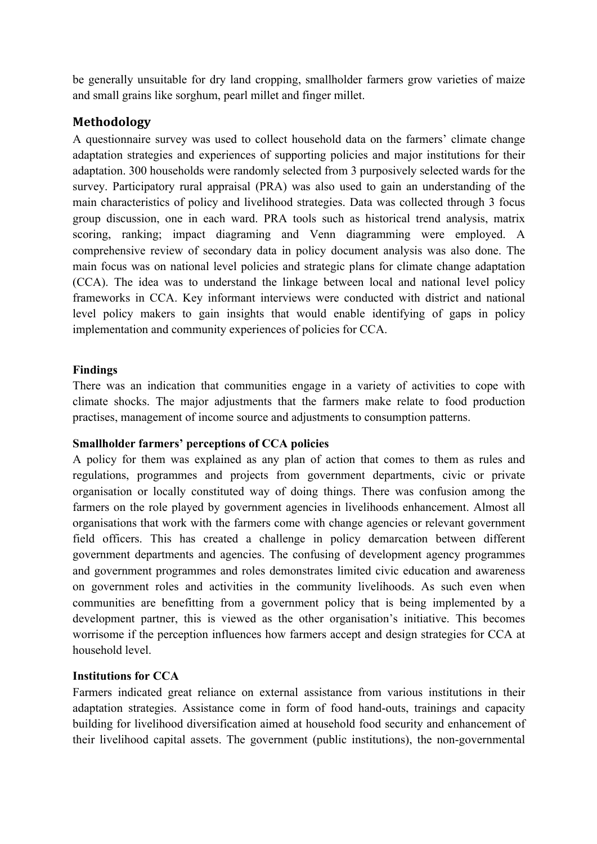be generally unsuitable for dry land cropping, smallholder farmers grow varieties of maize and small grains like sorghum, pearl millet and finger millet.

# **Methodology**

A questionnaire survey was used to collect household data on the farmers' climate change adaptation strategies and experiences of supporting policies and major institutions for their adaptation. 300 households were randomly selected from 3 purposively selected wards for the survey. Participatory rural appraisal (PRA) was also used to gain an understanding of the main characteristics of policy and livelihood strategies. Data was collected through 3 focus group discussion, one in each ward. PRA tools such as historical trend analysis, matrix scoring, ranking; impact diagraming and Venn diagramming were employed. A comprehensive review of secondary data in policy document analysis was also done. The main focus was on national level policies and strategic plans for climate change adaptation (CCA). The idea was to understand the linkage between local and national level policy frameworks in CCA. Key informant interviews were conducted with district and national level policy makers to gain insights that would enable identifying of gaps in policy implementation and community experiences of policies for CCA.

# **Findings**

There was an indication that communities engage in a variety of activities to cope with climate shocks. The major adjustments that the farmers make relate to food production practises, management of income source and adjustments to consumption patterns.

# **Smallholder farmers' perceptions of CCA policies**

A policy for them was explained as any plan of action that comes to them as rules and regulations, programmes and projects from government departments, civic or private organisation or locally constituted way of doing things. There was confusion among the farmers on the role played by government agencies in livelihoods enhancement. Almost all organisations that work with the farmers come with change agencies or relevant government field officers. This has created a challenge in policy demarcation between different government departments and agencies. The confusing of development agency programmes and government programmes and roles demonstrates limited civic education and awareness on government roles and activities in the community livelihoods. As such even when communities are benefitting from a government policy that is being implemented by a development partner, this is viewed as the other organisation's initiative. This becomes worrisome if the perception influences how farmers accept and design strategies for CCA at household level.

# **Institutions for CCA**

Farmers indicated great reliance on external assistance from various institutions in their adaptation strategies. Assistance come in form of food hand-outs, trainings and capacity building for livelihood diversification aimed at household food security and enhancement of their livelihood capital assets. The government (public institutions), the non-governmental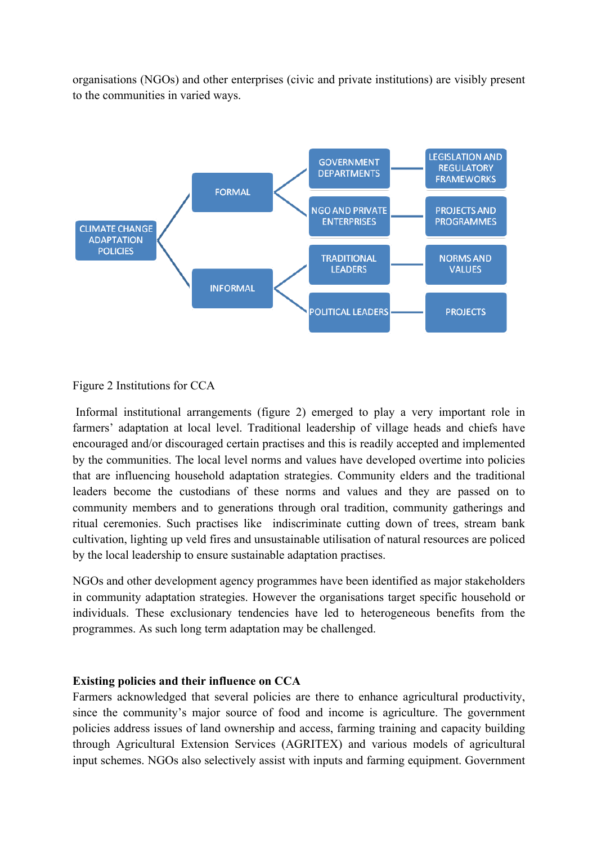organisations (NGOs) and other enterprises (civic and private institutions) are visibly present to the communities in varied ways.



### Figure 2 Institutions for CCA

Informal institutional arrangements (figure 2) emerged to play a very important role in farmers' adaptation at local level. Traditional leadership of village heads and chiefs have encouraged and/or discouraged certain practises and this is readily accepted and implemented by the communities. The local level norms and values have developed overtime into policies that are influencing household adaptation strategies. Community elders and the traditional leaders become the custodians of these norms and values and they are passed on to community members and to generations through oral tradition, community gatherings and ritual ceremonies. Such practises like indiscriminate cutting down of trees, stream bank cultivation, lighting up veld fires and unsustainable utilisation of natural resources are policed by the local leadership to ensure sustainable adaptation practises.

NGOs and other development agency programmes have been identified as major stakeholders in community adaptation strategies. However the organisations target specific household or individuals. These exclusionary tendencies have led to heterogeneous benefits from the programmes. As such long term adaptation may be challenged.

#### **Existing policies and their influence on CCA**

Farmers acknowledged that several policies are there to enhance agricultural productivity, since the community's major source of food and income is agriculture. The government policies address issues of land ownership and access, farming training and capacity building through Agricultural Extension Services (AGRITEX) and various models of agricultural input schemes. NGOs also selectively assist with inputs and farming equipment. Government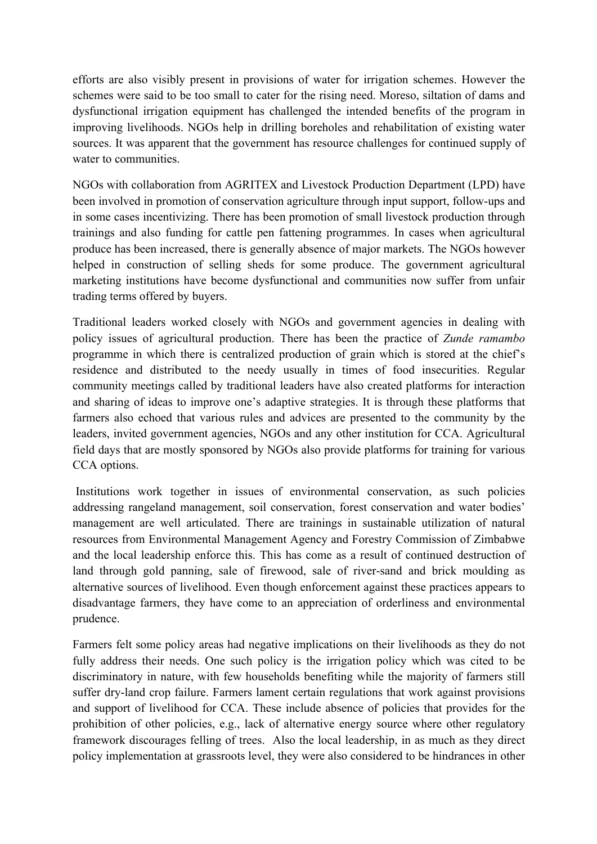efforts are also visibly present in provisions of water for irrigation schemes. However the schemes were said to be too small to cater for the rising need. Moreso, siltation of dams and dysfunctional irrigation equipment has challenged the intended benefits of the program in improving livelihoods. NGOs help in drilling boreholes and rehabilitation of existing water sources. It was apparent that the government has resource challenges for continued supply of water to communities.

NGOs with collaboration from AGRITEX and Livestock Production Department (LPD) have been involved in promotion of conservation agriculture through input support, follow-ups and in some cases incentivizing. There has been promotion of small livestock production through trainings and also funding for cattle pen fattening programmes. In cases when agricultural produce has been increased, there is generally absence of major markets. The NGOs however helped in construction of selling sheds for some produce. The government agricultural marketing institutions have become dysfunctional and communities now suffer from unfair trading terms offered by buyers.

Traditional leaders worked closely with NGOs and government agencies in dealing with policy issues of agricultural production. There has been the practice of *Zunde ramambo* programme in which there is centralized production of grain which is stored at the chief's residence and distributed to the needy usually in times of food insecurities. Regular community meetings called by traditional leaders have also created platforms for interaction and sharing of ideas to improve one's adaptive strategies. It is through these platforms that farmers also echoed that various rules and advices are presented to the community by the leaders, invited government agencies, NGOs and any other institution for CCA. Agricultural field days that are mostly sponsored by NGOs also provide platforms for training for various CCA options.

Institutions work together in issues of environmental conservation, as such policies addressing rangeland management, soil conservation, forest conservation and water bodies' management are well articulated. There are trainings in sustainable utilization of natural resources from Environmental Management Agency and Forestry Commission of Zimbabwe and the local leadership enforce this. This has come as a result of continued destruction of land through gold panning, sale of firewood, sale of river-sand and brick moulding as alternative sources of livelihood. Even though enforcement against these practices appears to disadvantage farmers, they have come to an appreciation of orderliness and environmental prudence.

Farmers felt some policy areas had negative implications on their livelihoods as they do not fully address their needs. One such policy is the irrigation policy which was cited to be discriminatory in nature, with few households benefiting while the majority of farmers still suffer dry-land crop failure. Farmers lament certain regulations that work against provisions and support of livelihood for CCA. These include absence of policies that provides for the prohibition of other policies, e.g., lack of alternative energy source where other regulatory framework discourages felling of trees. Also the local leadership, in as much as they direct policy implementation at grassroots level, they were also considered to be hindrances in other